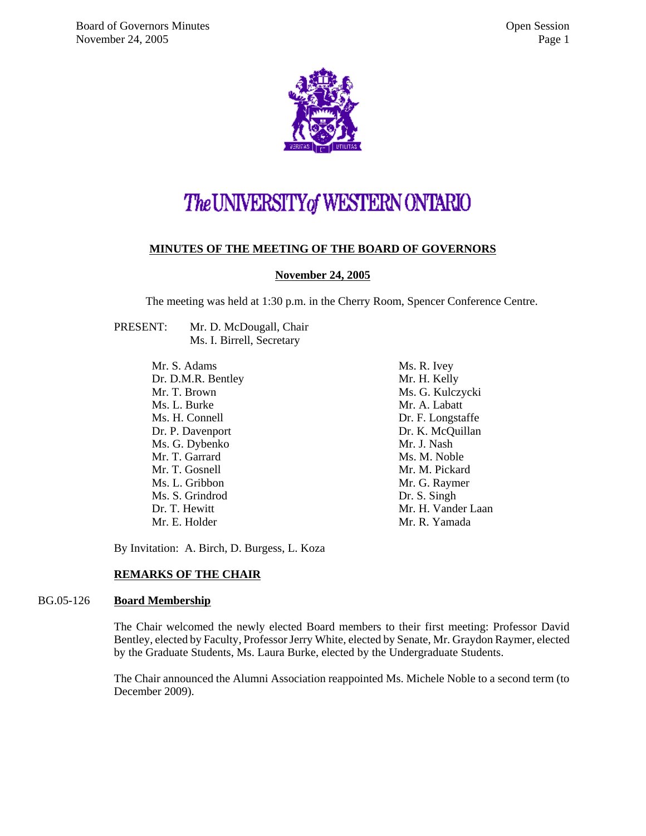

# The UNIVERSITY of WESTERN ONTARIO

#### **MINUTES OF THE MEETING OF THE BOARD OF GOVERNORS**

**November 24, 2005**

The meeting was held at 1:30 p.m. in the Cherry Room, Spencer Conference Centre.

PRESENT: Mr. D. McDougall, Chair Ms. I. Birrell, Secretary

> Mr. S. Adams Dr. D.M.R. Bentley Mr. T. Brown Ms. L. Burke Ms. H. Connell Dr. P. Davenport Ms. G. Dybenko Mr. T. Garrard Mr. T. Gosnell Ms. L. Gribbon Ms. S. Grindrod Dr. T. Hewitt Mr. E. Holder

Ms. R. Ivey Mr. H. Kelly Ms. G. Kulczycki Mr. A. Labatt Dr. F. Longstaffe Dr. K. McQuillan Mr. J. Nash Ms. M. Noble Mr. M. Pickard Mr. G. Raymer Dr. S. Singh Mr. H. Vander Laan Mr. R. Yamada

By Invitation: A. Birch, D. Burgess, L. Koza

#### **REMARKS OF THE CHAIR**

#### BG.05-126 **Board Membership**

The Chair welcomed the newly elected Board members to their first meeting: Professor David Bentley, elected by Faculty, Professor Jerry White, elected by Senate, Mr. Graydon Raymer, elected by the Graduate Students, Ms. Laura Burke, elected by the Undergraduate Students.

The Chair announced the Alumni Association reappointed Ms. Michele Noble to a second term (to December 2009).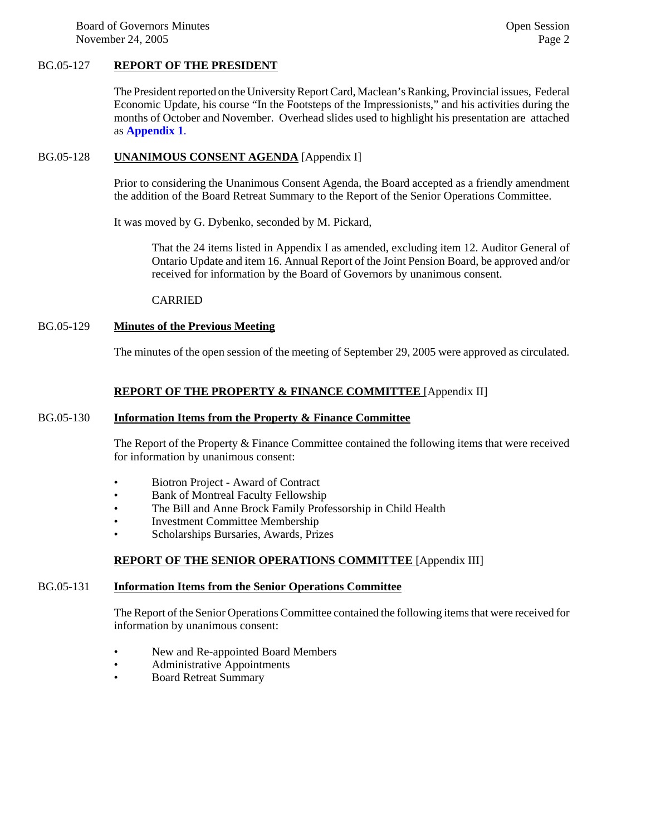Board of Governors Minutes **Contact Server Contact Server Contact Server Contact Server Contact Server Contact Server Contact Server Contact Server Contact Server Contact Server Contact Server Contact Server Contact Server** November 24, 2005 Page 2

#### BG.05-127 **REPORT OF THE PRESIDENT**

The President reported on the University Report Card, Maclean's Ranking, Provincial issues, Federal Economic Update, his course "In the Footsteps of the Impressionists," and his activities during the months of October and November. Overhead slides used to highlight his presentation are attached as **[Appendix 1](#page-5-0)**.

#### BG.05-128 **UNANIMOUS CONSENT AGENDA** [Appendix I]

Prior to considering the Unanimous Consent Agenda, the Board accepted as a friendly amendment the addition of the Board Retreat Summary to the Report of the Senior Operations Committee.

It was moved by G. Dybenko, seconded by M. Pickard,

That the 24 items listed in Appendix I as amended, excluding item 12. Auditor General of Ontario Update and item 16. Annual Report of the Joint Pension Board, be approved and/or received for information by the Board of Governors by unanimous consent.

#### CARRIED

#### BG.05-129 **Minutes of the Previous Meeting**

The minutes of the open session of the meeting of September 29, 2005 were approved as circulated.

#### **REPORT OF THE PROPERTY & FINANCE COMMITTEE** [Appendix II]

#### BG.05-130 **Information Items from the Property & Finance Committee**

The Report of the Property & Finance Committee contained the following items that were received for information by unanimous consent:

- Biotron Project Award of Contract
- Bank of Montreal Faculty Fellowship
- The Bill and Anne Brock Family Professorship in Child Health
- Investment Committee Membership
- Scholarships Bursaries, Awards, Prizes

#### **REPORT OF THE SENIOR OPERATIONS COMMITTEE** [Appendix III]

### BG.05-131 **Information Items from the Senior Operations Committee**

The Report of the Senior Operations Committee contained the following items that were received for information by unanimous consent:

- New and Re-appointed Board Members
- Administrative Appointments
- Board Retreat Summary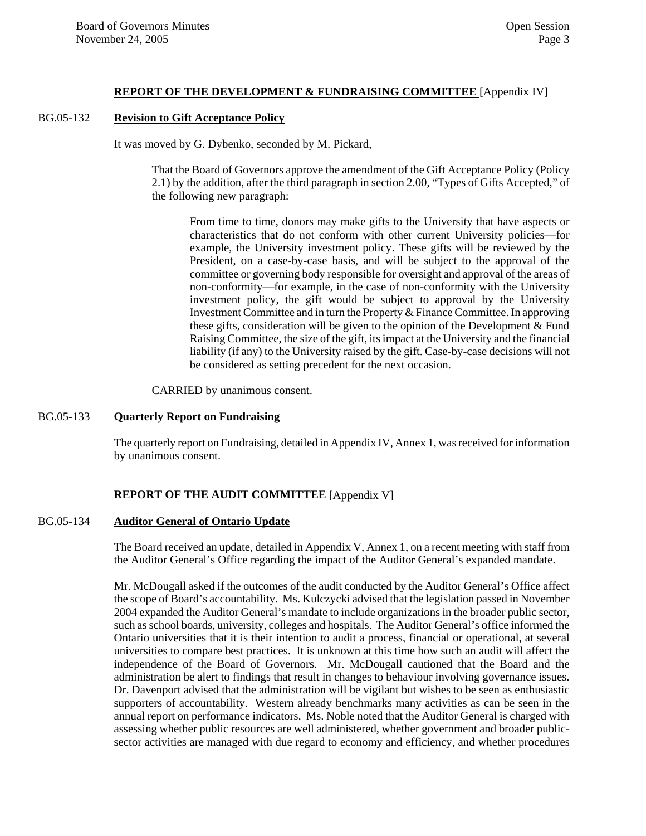#### **REPORT OF THE DEVELOPMENT & FUNDRAISING COMMITTEE** [Appendix IV]

#### BG.05-132 **Revision to Gift Acceptance Policy**

It was moved by G. Dybenko, seconded by M. Pickard,

That the Board of Governors approve the amendment of the Gift Acceptance Policy (Policy 2.1) by the addition, after the third paragraph in section 2.00, "Types of Gifts Accepted," of the following new paragraph:

From time to time, donors may make gifts to the University that have aspects or characteristics that do not conform with other current University policies—for example, the University investment policy. These gifts will be reviewed by the President, on a case-by-case basis, and will be subject to the approval of the committee or governing body responsible for oversight and approval of the areas of non-conformity—for example, in the case of non-conformity with the University investment policy, the gift would be subject to approval by the University Investment Committee and in turn the Property & Finance Committee. In approving these gifts, consideration will be given to the opinion of the Development & Fund Raising Committee, the size of the gift, its impact at the University and the financial liability (if any) to the University raised by the gift. Case-by-case decisions will not be considered as setting precedent for the next occasion.

CARRIED by unanimous consent.

#### BG.05-133 **Quarterly Report on Fundraising**

The quarterly report on Fundraising, detailed in Appendix IV, Annex 1, was received for information by unanimous consent.

#### **REPORT OF THE AUDIT COMMITTEE** [Appendix V]

#### BG.05-134 **Auditor General of Ontario Update**

The Board received an update, detailed in Appendix V, Annex 1, on a recent meeting with staff from the Auditor General's Office regarding the impact of the Auditor General's expanded mandate.

Mr. McDougall asked if the outcomes of the audit conducted by the Auditor General's Office affect the scope of Board's accountability. Ms. Kulczycki advised that the legislation passed in November 2004 expanded the Auditor General's mandate to include organizations in the broader public sector, such as school boards, university, colleges and hospitals. The Auditor General's office informed the Ontario universities that it is their intention to audit a process, financial or operational, at several universities to compare best practices. It is unknown at this time how such an audit will affect the independence of the Board of Governors. Mr. McDougall cautioned that the Board and the administration be alert to findings that result in changes to behaviour involving governance issues. Dr. Davenport advised that the administration will be vigilant but wishes to be seen as enthusiastic supporters of accountability. Western already benchmarks many activities as can be seen in the annual report on performance indicators. Ms. Noble noted that the Auditor General is charged with assessing whether public resources are well administered, whether government and broader publicsector activities are managed with due regard to economy and efficiency, and whether procedures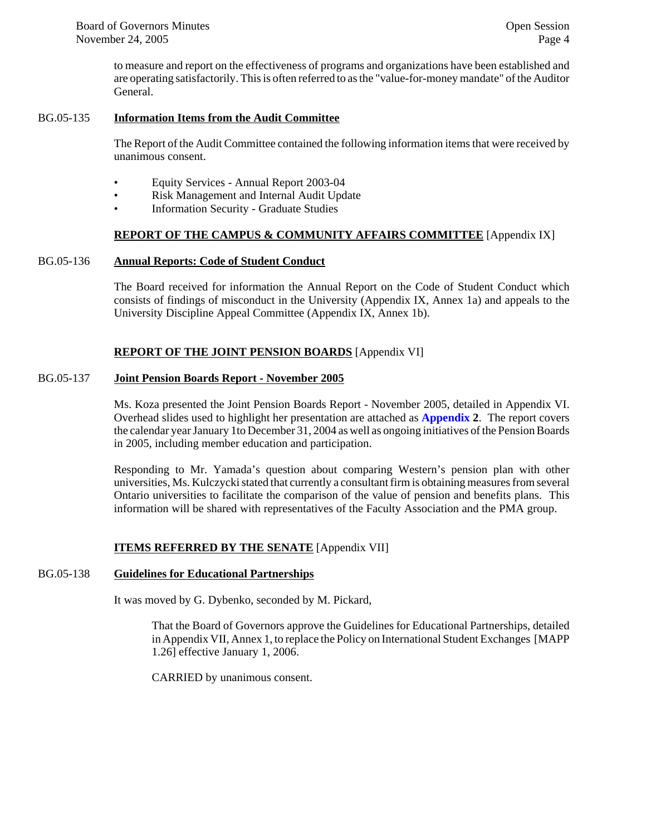to measure and report on the effectiveness of programs and organizations have been established and are operating satisfactorily. This is often referred to as the "value-for-money mandate" of the Auditor General.

#### BG.05-135 **Information Items from the Audit Committee**

The Report of the Audit Committee contained the following information items that were received by unanimous consent.

- Equity Services Annual Report 2003-04
- Risk Management and Internal Audit Update
- Information Security Graduate Studies

#### **REPORT OF THE CAMPUS & COMMUNITY AFFAIRS COMMITTEE** [Appendix IX]

#### BG.05-136 **Annual Reports: Code of Student Conduct**

The Board received for information the Annual Report on the Code of Student Conduct which consists of findings of misconduct in the University (Appendix IX, Annex 1a) and appeals to the University Discipline Appeal Committee (Appendix IX, Annex 1b).

#### **REPORT OF THE JOINT PENSION BOARDS** [Appendix VI]

#### BG.05-137 **Joint Pension Boards Report - November 2005**

Ms. Koza presented the Joint Pension Boards Report - November 2005, detailed in Appendix VI. Overhead slides used to highlight her presentation are attached as **[Appendix 2](#page-7-0)**. The report covers the calendar year January 1to December 31, 2004 as well as ongoing initiatives of the Pension Boards in 2005, including member education and participation.

Responding to Mr. Yamada's question about comparing Western's pension plan with other universities, Ms. Kulczycki stated that currently a consultant firm is obtaining measures from several Ontario universities to facilitate the comparison of the value of pension and benefits plans. This information will be shared with representatives of the Faculty Association and the PMA group.

#### **ITEMS REFERRED BY THE SENATE** [Appendix VII]

#### BG.05-138 **Guidelines for Educational Partnerships**

It was moved by G. Dybenko, seconded by M. Pickard,

That the Board of Governors approve the Guidelines for Educational Partnerships, detailed in Appendix VII, Annex 1, to replace the Policy on International Student Exchanges [MAPP 1.26] effective January 1, 2006.

CARRIED by unanimous consent.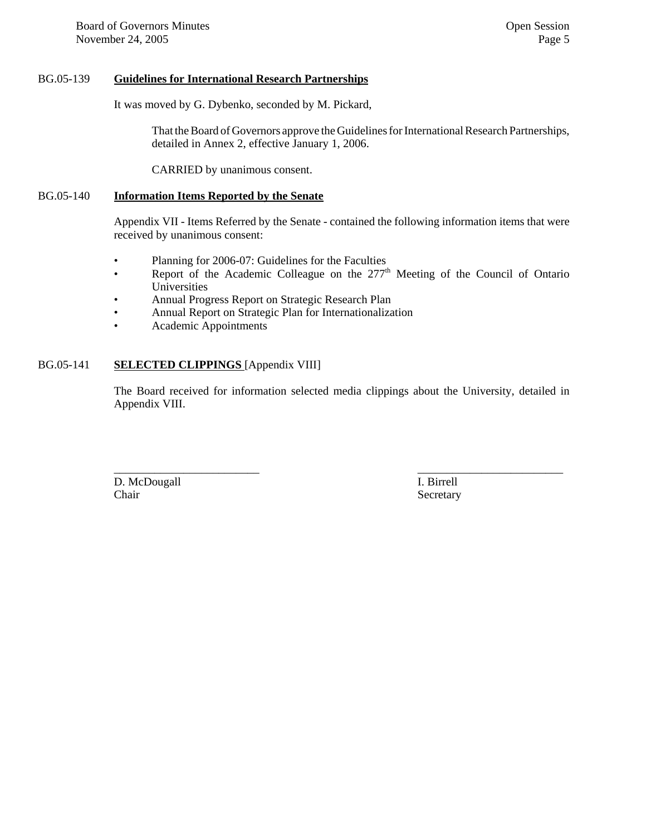#### BG.05-139 **Guidelines for International Research Partnerships**

It was moved by G. Dybenko, seconded by M. Pickard,

That the Board of Governors approve the Guidelines for International Research Partnerships, detailed in Annex 2, effective January 1, 2006.

CARRIED by unanimous consent.

#### BG.05-140 **Information Items Reported by the Senate**

Appendix VII - Items Referred by the Senate - contained the following information items that were received by unanimous consent:

- Planning for 2006-07: Guidelines for the Faculties
- Report of the Academic Colleague on the 277<sup>th</sup> Meeting of the Council of Ontario Universities
- Annual Progress Report on Strategic Research Plan
- Annual Report on Strategic Plan for Internationalization
- Academic Appointments

#### BG.05-141 **SELECTED CLIPPINGS** [Appendix VIII]

The Board received for information selected media clippings about the University, detailed in Appendix VIII.

\_\_\_\_\_\_\_\_\_\_\_\_\_\_\_\_\_\_\_\_\_\_\_\_\_ \_\_\_\_\_\_\_\_\_\_\_\_\_\_\_\_\_\_\_\_\_\_\_\_\_ D. McDougall **I. Birrell** Chair Secretary Secretary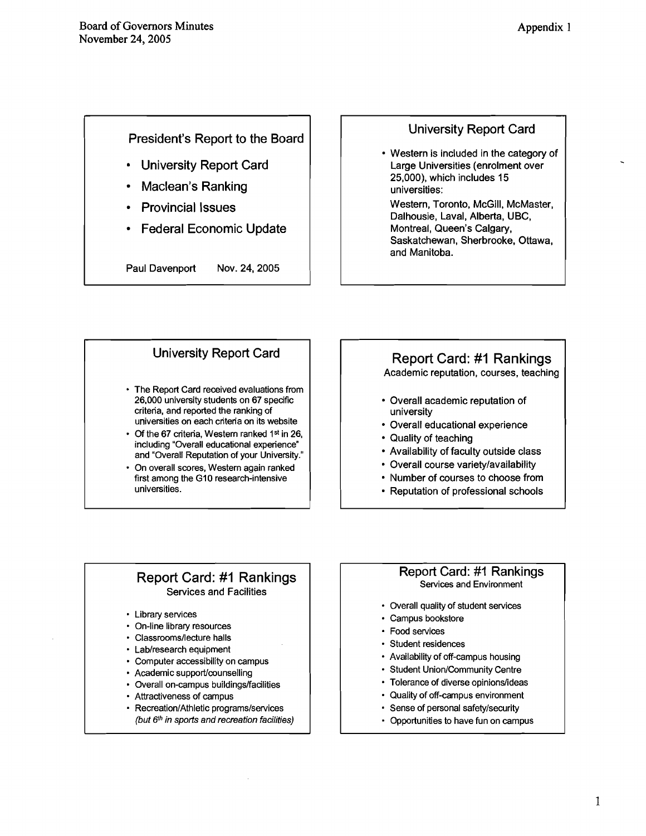## <span id="page-5-0"></span>President's Report to the Board

- University Report Card
- Maclean's Ranking
- Provincial Issues
- Federal Economic Update

Paul Davenport Nov. **24,2005** 

## University Report Card

Western is included in the category of Large Universities (enrolment over **25,000),** which includes **15**  universities:

Western, Toronto, McGill, McMaster, Dalhousie, Laval, Alberta, UBC, Montreal, Queen's Calgary, Saskatchewan, Sherbrooke, Ottawa, and Manitoba.

## University Report Card

- The Report Card received evaluations from **26,000** university students on **67** specific criteria, and reported the ranking of universities on each criteria on its website
- Of the **67** criteria, Western ranked **1st** in **26,**  including "Overall educational experience" and "Overall Reputation of your University."
- On overall scores, Western again ranked first among the **GI0** research-intensive universities.

## Report Card: #I Rankings

Academic reputation, courses, teaching

- Overall academic reputation of university
- Overall educational experience
- Quality of teaching
- Availability of faculty outside class
- Overall course variety/availability
- Number of courses to choose from
- Reputation of professional schools

## Report Card: #I Rankings Services and Facilities

- \* Library services
- On-line library resources
- Classrooms/lecture halls
- Lab/research equipment
- Computer accessibility on campus
- Academic support/counselling
- Overall on-campus buildings/facilities
- Attractiveness of campus
- Recreation/Athletic programs/services (but **6th** in sports and recreation facilities)

#### Report Card: #I Rankings Services and Environment

- Overall quality of student services
- Campus bookstore
- Food services
- Student residences
- Availability of off-campus housing
- Student Union/Community Centre
- Tolerance of diverse opinions/ideas
- Quality of off-campus environment
- Sense of personal safetylsecurity
- Opportunities to have fun on campus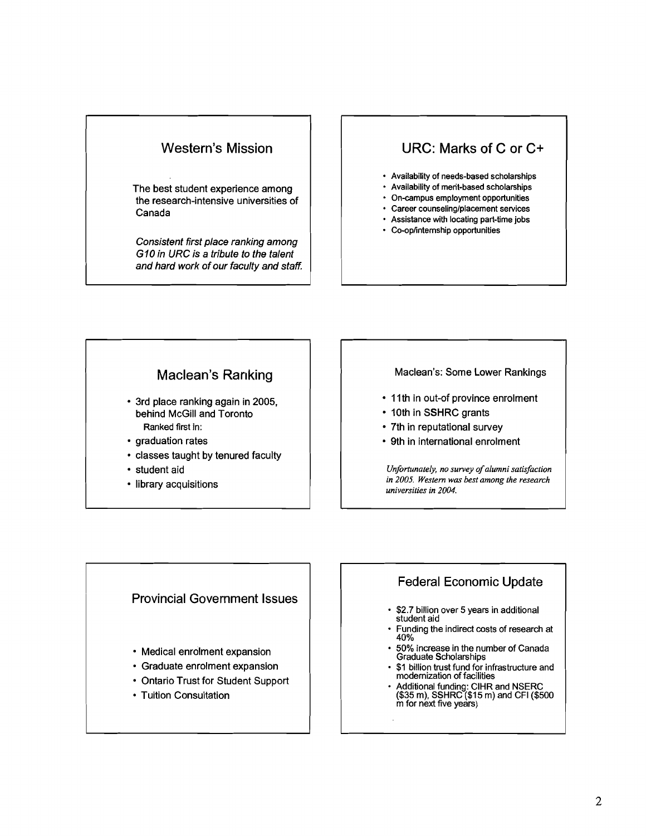

The best student experience among the research-intensive universities of Canada

Consistent first place ranking among *GlO* in URC is a tribute to the talent and hard work of our faculty and staff.

## URC: Marks of C or C+

- Availability of needs-based scholarships
- Availability of merit-based scholarships
- On-campus employment opportunities
- Career counseling/placement services
- Assistance with locating part-time jobs
- Co-oplintemship opportunities

## Maclean's Ranking

- 3rd place ranking again in 2005, behind McGill and Toronto Ranked first in:
- graduation rates
- classes taught by tenured faculty
- student aid
- library acquisitions

#### Maclean's: Some Lower Rankings

- **11** th in out-of province enrolment
- 10th in SSHRC grants
- 7th in reputational survey
- 9th in international enrolment

*Unfortunately, no survey of alumni satisfaction in 2005. Western* **was** *best among the research universities in 2004.* 

#### Provincial Government Issues

- Medical enrolment expansion
- Graduate enrolment expansion
- Ontario Trust for Student Support
- Tuition Consultation

## Federal Economic Update

- \$2.7 billion over 5 years in additional student aid
- Funding the indirect costs of research at 40%
- 50% increase in the number of Canada Graduate Scholarships
- \$1 billion trust fund for infrastructure and modernization of facilities
- Additional funding: ClHR and NSERC (\$35 rn), SSHRC (\$15 rn) and CFI (\$500 m for next five years)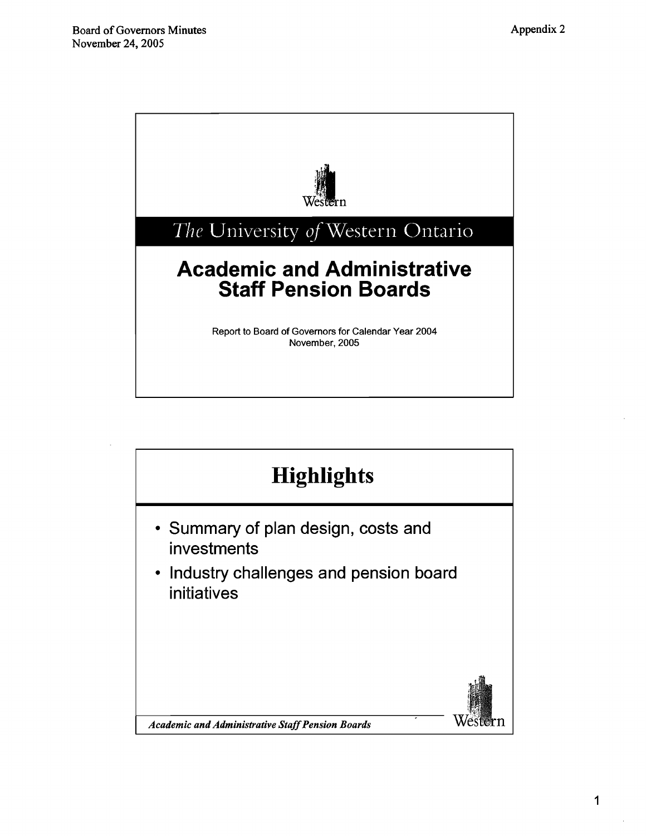<span id="page-7-0"></span>

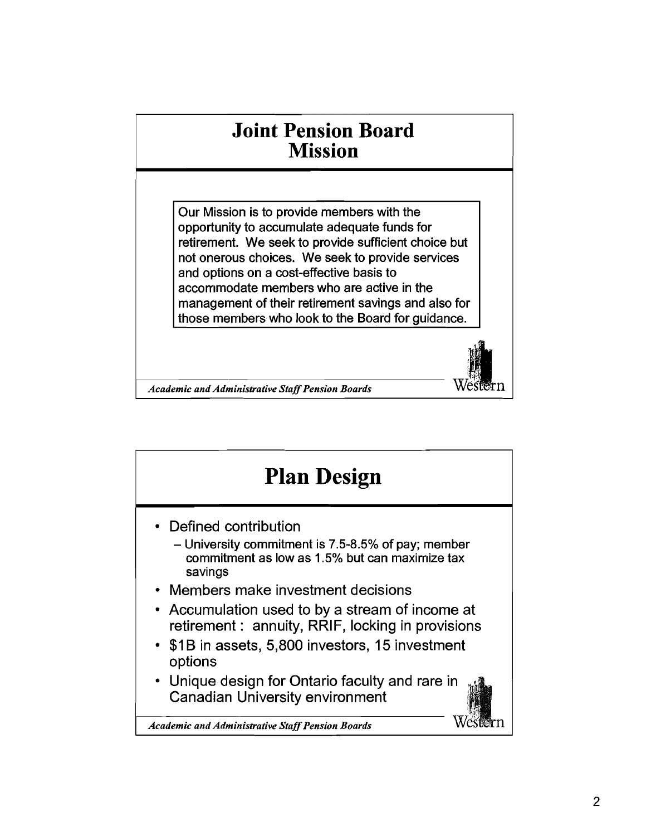## **Joint Pension Board Mission**

Our Mission is to provide members with the opportunity to accumulate adequate funds for retirement. We seek to provide sufficient choice but not onerous choices. We seek to provide services and options on a cost-effective basis to accommodate members who are active in the management of their retirement savings and also for those members who look to the Board for guidance.

*Academic and Administrative Staff Pension Boards* WESTET 1

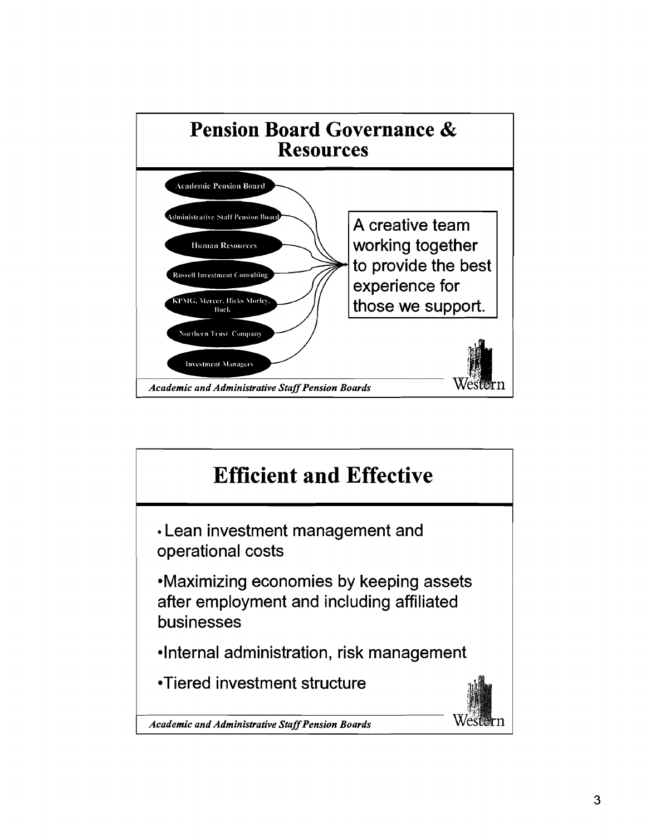

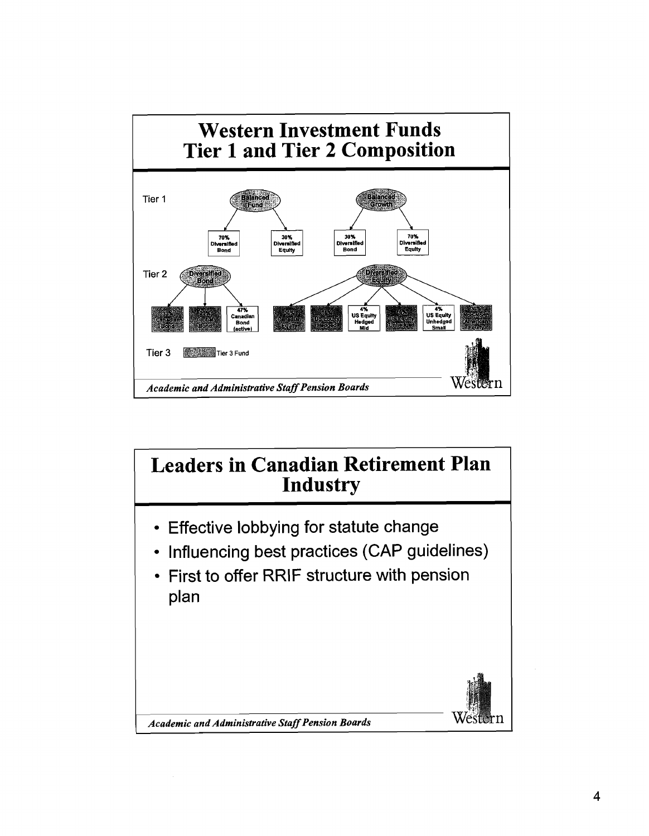

## **Leaders in Canadian Retirement Plan Industry**

- Effective lobbying for statute change
- Influencing best practices (CAP guidelines)
- First to offer RRlF structure with pension plan



*Academic and Administrative Staff Pension Boards*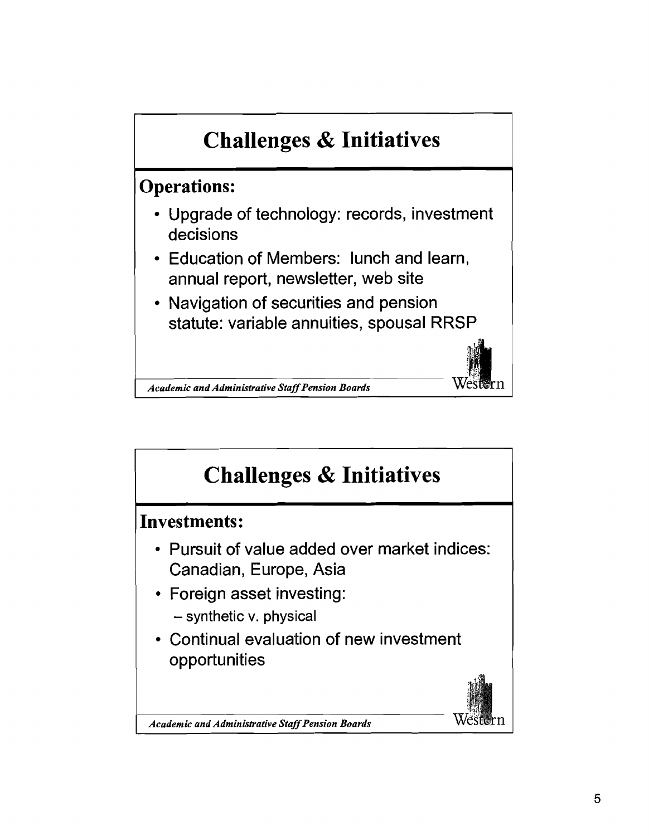

*Academic and Administrative Staff Pension Boards* West